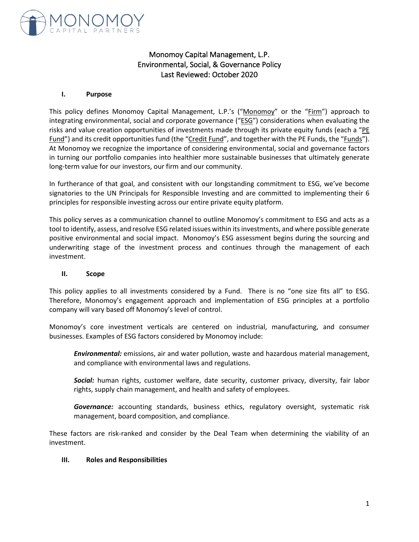

# Monomoy Capital Management, L.P. Environmental, Social, & Governance Policy Last Reviewed: October 2020

#### **I. Purpose**

This policy defines Monomoy Capital Management, L.P.'s ("Monomoy" or the "Firm") approach to integrating environmental, social and corporate governance ("ESG") considerations when evaluating the risks and value creation opportunities of investments made through its private equity funds (each a "PE Fund") and its credit opportunities fund (the "Credit Fund", and together with the PE Funds, the "Funds"). At Monomoy we recognize the importance of considering environmental, social and governance factors in turning our portfolio companies into healthier more sustainable businesses that ultimately generate long-term value for our investors, our firm and our community.

In furtherance of that goal, and consistent with our longstanding commitment to ESG, we've become signatories to the UN Principals for Responsible Investing and are committed to implementing their 6 principles for responsible investing across our entire private equity platform.

This policy serves as a communication channel to outline Monomoy's commitment to ESG and acts as a tool to identify, assess, and resolve ESG related issues within its investments, and where possible generate positive environmental and social impact. Monomoy's ESG assessment begins during the sourcing and underwriting stage of the investment process and continues through the management of each investment.

#### **II. Scope**

This policy applies to all investments considered by a Fund. There is no "one size fits all" to ESG. Therefore, Monomoy's engagement approach and implementation of ESG principles at a portfolio company will vary based off Monomoy's level of control.

Monomoy's core investment verticals are centered on industrial, manufacturing, and consumer businesses. Examples of ESG factors considered by Monomoy include:

*Environmental:* emissions, air and water pollution, waste and hazardous material management, and compliance with environmental laws and regulations.

*Social:* human rights, customer welfare, date security, customer privacy, diversity, fair labor rights, supply chain management, and health and safety of employees.

*Governance:* accounting standards, business ethics, regulatory oversight, systematic risk management, board composition, and compliance.

These factors are risk-ranked and consider by the Deal Team when determining the viability of an investment.

#### **III. Roles and Responsibilities**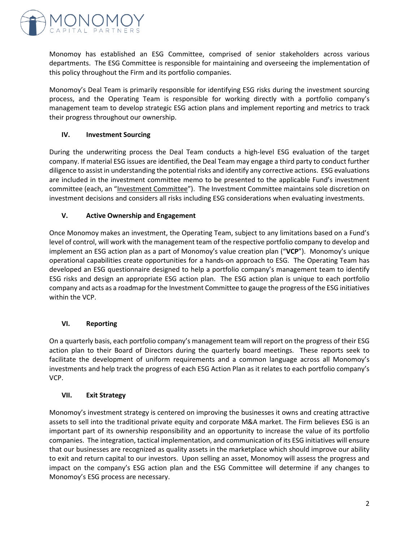

Monomoy has established an ESG Committee, comprised of senior stakeholders across various departments. The ESG Committee is responsible for maintaining and overseeing the implementation of this policy throughout the Firm and its portfolio companies.

Monomoy's Deal Team is primarily responsible for identifying ESG risks during the investment sourcing process, and the Operating Team is responsible for working directly with a portfolio company's management team to develop strategic ESG action plans and implement reporting and metrics to track their progress throughout our ownership.

## **IV. Investment Sourcing**

During the underwriting process the Deal Team conducts a high-level ESG evaluation of the target company. If material ESG issues are identified, the Deal Team may engage a third party to conduct further diligence to assist in understanding the potential risks and identify any corrective actions. ESG evaluations are included in the investment committee memo to be presented to the applicable Fund's investment committee (each, an "Investment Committee"). The Investment Committee maintains sole discretion on investment decisions and considers all risks including ESG considerations when evaluating investments.

### **V. Active Ownership and Engagement**

Once Monomoy makes an investment, the Operating Team, subject to any limitations based on a Fund's level of control, will work with the management team of the respective portfolio company to develop and implement an ESG action plan as a part of Monomoy's value creation plan ("**VCP**"). Monomoy's unique operational capabilities create opportunities for a hands-on approach to ESG. The Operating Team has developed an ESG questionnaire designed to help a portfolio company's management team to identify ESG risks and design an appropriate ESG action plan. The ESG action plan is unique to each portfolio company and acts as a roadmap forthe Investment Committee to gauge the progress of the ESG initiatives within the VCP.

# **VI. Reporting**

On a quarterly basis, each portfolio company's management team will report on the progress of their ESG action plan to their Board of Directors during the quarterly board meetings. These reports seek to facilitate the development of uniform requirements and a common language across all Monomoy's investments and help track the progress of each ESG Action Plan as it relates to each portfolio company's VCP.

#### **VII. Exit Strategy**

Monomoy's investment strategy is centered on improving the businesses it owns and creating attractive assets to sell into the traditional private equity and corporate M&A market. The Firm believes ESG is an important part of its ownership responsibility and an opportunity to increase the value of its portfolio companies. The integration, tactical implementation, and communication of its ESG initiatives will ensure that our businesses are recognized as quality assets in the marketplace which should improve our ability to exit and return capital to our investors. Upon selling an asset, Monomoy will assess the progress and impact on the company's ESG action plan and the ESG Committee will determine if any changes to Monomoy's ESG process are necessary.